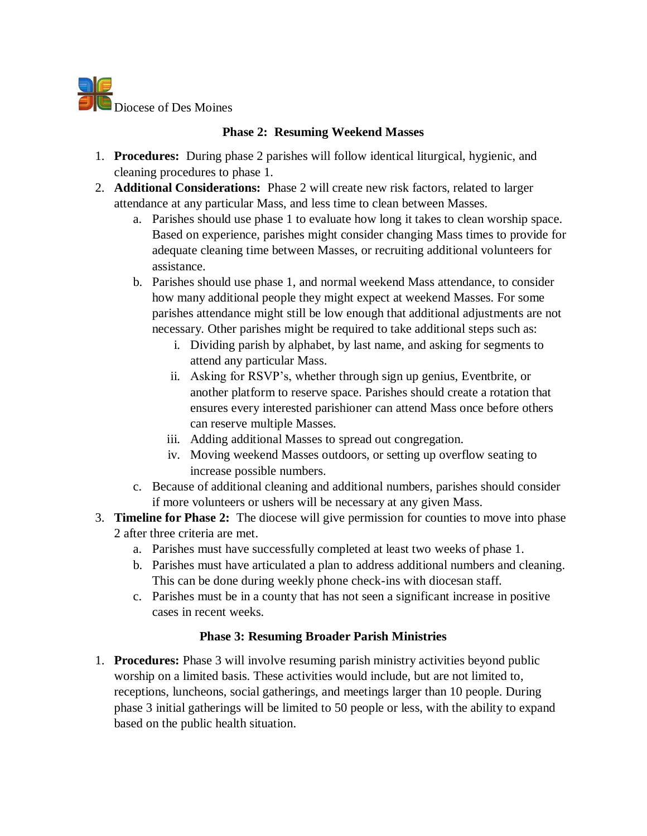

## **Phase 2: Resuming Weekend Masses**

- 1. **Procedures:** During phase 2 parishes will follow identical liturgical, hygienic, and cleaning procedures to phase 1.
- 2. **Additional Considerations:** Phase 2 will create new risk factors, related to larger attendance at any particular Mass, and less time to clean between Masses.
	- a. Parishes should use phase 1 to evaluate how long it takes to clean worship space. Based on experience, parishes might consider changing Mass times to provide for adequate cleaning time between Masses, or recruiting additional volunteers for assistance.
	- b. Parishes should use phase 1, and normal weekend Mass attendance, to consider how many additional people they might expect at weekend Masses. For some parishes attendance might still be low enough that additional adjustments are not necessary. Other parishes might be required to take additional steps such as:
		- i. Dividing parish by alphabet, by last name, and asking for segments to attend any particular Mass.
		- ii. Asking for RSVP's, whether through sign up genius, Eventbrite, or another platform to reserve space. Parishes should create a rotation that ensures every interested parishioner can attend Mass once before others can reserve multiple Masses.
		- iii. Adding additional Masses to spread out congregation.
		- iv. Moving weekend Masses outdoors, or setting up overflow seating to increase possible numbers.
	- c. Because of additional cleaning and additional numbers, parishes should consider if more volunteers or ushers will be necessary at any given Mass.
- 3. **Timeline for Phase 2:** The diocese will give permission for counties to move into phase 2 after three criteria are met.
	- a. Parishes must have successfully completed at least two weeks of phase 1.
	- b. Parishes must have articulated a plan to address additional numbers and cleaning. This can be done during weekly phone check-ins with diocesan staff.
	- c. Parishes must be in a county that has not seen a significant increase in positive cases in recent weeks.

## **Phase 3: Resuming Broader Parish Ministries**

1. **Procedures:** Phase 3 will involve resuming parish ministry activities beyond public worship on a limited basis. These activities would include, but are not limited to, receptions, luncheons, social gatherings, and meetings larger than 10 people. During phase 3 initial gatherings will be limited to 50 people or less, with the ability to expand based on the public health situation.